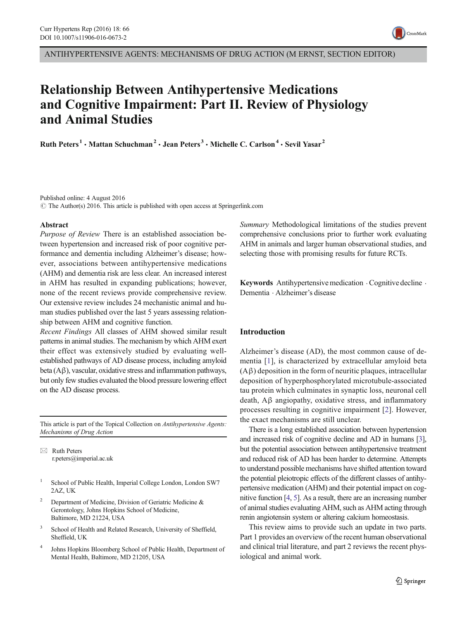ANTIHYPERTENSIVE AGENTS: MECHANISMS OF DRUG ACTION (M ERNST, SECTION EDITOR)

# Relationship Between Antihypertensive Medications and Cognitive Impairment: Part II. Review of Physiology and Animal Studies

Ruth Peters<sup>1</sup> • Mattan Schuchman<sup>2</sup> • Jean Peters<sup>3</sup> • Michelle C. Carlson<sup>4</sup> • Sevil Yasar<sup>2</sup>

Published online: 4 August 2016

 $\odot$  The Author(s) 2016. This article is published with open access at Springerlink.com

#### Abstract

Purpose of Review There is an established association between hypertension and increased risk of poor cognitive performance and dementia including Alzheimer's disease; however, associations between antihypertensive medications (AHM) and dementia risk are less clear. An increased interest in AHM has resulted in expanding publications; however, none of the recent reviews provide comprehensive review. Our extensive review includes 24 mechanistic animal and human studies published over the last 5 years assessing relationship between AHM and cognitive function.

Recent Findings All classes of AHM showed similar result patterns in animal studies. The mechanism by which AHM exert their effect was extensively studied by evaluating wellestablished pathways of AD disease process, including amyloid beta (Aβ), vascular, oxidative stress and inflammation pathways, but only few studies evaluated the blood pressure lowering effect on the AD disease process.

This article is part of the Topical Collection on Antihypertensive Agents: Mechanisms of Drug Action

 $\boxtimes$  Ruth Peters r.peters@imperial.ac.uk

- <sup>1</sup> School of Public Health, Imperial College London, London SW7 2AZ, UK
- <sup>2</sup> Department of Medicine, Division of Geriatric Medicine & Gerontology, Johns Hopkins School of Medicine, Baltimore, MD 21224, USA
- <sup>3</sup> School of Health and Related Research, University of Sheffield, Sheffield, UK
- <sup>4</sup> Johns Hopkins Bloomberg School of Public Health, Department of Mental Health, Baltimore, MD 21205, USA

Summary Methodological limitations of the studies prevent comprehensive conclusions prior to further work evaluating AHM in animals and larger human observational studies, and selecting those with promising results for future RCTs.

Keywords Antihypertensive medication  $\cdot$  Cognitive decline  $\cdot$ Dementia . Alzheimer's disease

# Introduction

Alzheimer's disease (AD), the most common cause of dementia [[1\]](#page-11-0), is characterized by extracellular amyloid beta  $(A\beta)$  deposition in the form of neuritic plaques, intracellular deposition of hyperphosphorylated microtubule-associated tau protein which culminates in synaptic loss, neuronal cell death, Aβ angiopathy, oxidative stress, and inflammatory processes resulting in cognitive impairment [[2](#page-11-0)]. However, the exact mechanisms are still unclear.

There is a long established association between hypertension and increased risk of cognitive decline and AD in humans [\[3\]](#page-11-0), but the potential association between antihypertensive treatment and reduced risk of AD has been harder to determine. Attempts to understand possible mechanisms have shifted attention toward the potential pleiotropic effects of the different classes of antihypertensive medication (AHM) and their potential impact on cognitive function [\[4,](#page-11-0) [5](#page-11-0)]. As a result, there are an increasing number of animal studies evaluating AHM, such as AHM acting through renin angiotensin system or altering calcium homeostasis.

This review aims to provide such an update in two parts. Part 1 provides an overview of the recent human observational and clinical trial literature, and part 2 reviews the recent physiological and animal work.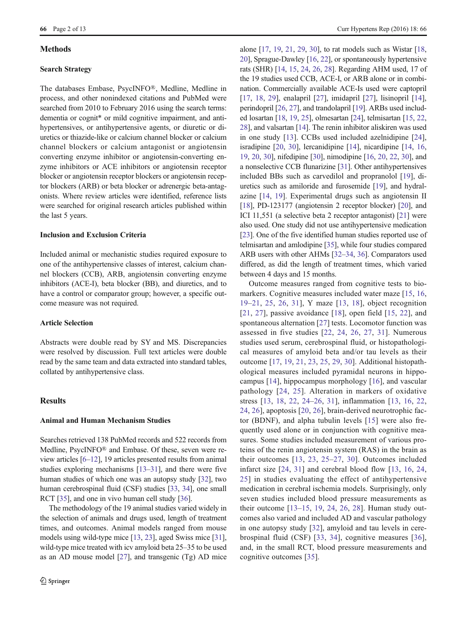## **Methods**

#### Search Strategy

The databases Embase, PsycINFO®, Medline, Medline in process, and other nonindexed citations and PubMed were searched from 2010 to February 2016 using the search terms: dementia or cognit\* or mild cognitive impairment, and antihypertensives, or antihypertensive agents, or diuretic or diuretics or thiazide-like or calcium channel blocker or calcium channel blockers or calcium antagonist or angiotensin converting enzyme inhibitor or angiotensin-converting enzyme inhibitors or ACE inhibitors or angiotensin receptor blocker or angiotensin receptor blockers or angiotensin receptor blockers (ARB) or beta blocker or adrenergic beta-antagonists. Where review articles were identified, reference lists were searched for original research articles published within the last 5 years.

## Inclusion and Exclusion Criteria

Included animal or mechanistic studies required exposure to one of the antihypertensive classes of interest, calcium channel blockers (CCB), ARB, angiotensin converting enzyme inhibitors (ACE-I), beta blocker (BB), and diuretics, and to have a control or comparator group; however, a specific outcome measure was not required.

## Article Selection

Abstracts were double read by SY and MS. Discrepancies were resolved by discussion. Full text articles were double read by the same team and data extracted into standard tables, collated by antihypertensive class.

## **Results**

## Animal and Human Mechanism Studies

Searches retrieved 138 PubMed records and 522 records from Medline, PsycINFO® and Embase. Of these, seven were review articles [\[6](#page-11-0)–[12\]](#page-11-0), 19 articles presented results from animal studies exploring mechanisms [\[13](#page-11-0)–[31\]](#page-12-0), and there were five human studies of which one was an autopsy study [\[32\]](#page-12-0), two human cerebrospinal fluid (CSF) studies [\[33,](#page-12-0) [34](#page-12-0)], one small RCT [[35\]](#page-12-0), and one in vivo human cell study [\[36\]](#page-12-0).

The methodology of the 19 animal studies varied widely in the selection of animals and drugs used, length of treatment times, and outcomes. Animal models ranged from mouse models using wild-type mice [[13,](#page-11-0) [23\]](#page-11-0), aged Swiss mice [[31\]](#page-12-0), wild-type mice treated with icv amyloid beta 25–35 to be used as an AD mouse model [[27](#page-12-0)], and transgenic (Tg) AD mice alone [\[17](#page-11-0), [19](#page-11-0), [21,](#page-11-0) [29](#page-12-0), [30\]](#page-12-0), to rat models such as Wistar [\[18,](#page-11-0) [20\]](#page-11-0), Sprague-Dawley [\[16](#page-11-0), [22\]](#page-11-0), or spontaneously hypertensive rats (SHR) [[14,](#page-11-0) [15,](#page-11-0) [24,](#page-11-0) [26,](#page-11-0) [28](#page-12-0)]. Regarding AHM used, 17 of the 19 studies used CCB, ACE-I, or ARB alone or in combination. Commercially available ACE-Is used were captopril [\[17](#page-11-0), [18,](#page-11-0) [29](#page-12-0)], enalapril [\[27](#page-12-0)], imidapril [\[27](#page-12-0)], lisinopril [\[14\]](#page-11-0), perindopril [\[26](#page-11-0), [27\]](#page-12-0), and trandolapril [\[19\]](#page-11-0). ARBs used included losartan [\[18](#page-11-0), [19](#page-11-0), [25](#page-11-0)], olmesartan [\[24](#page-11-0)], telmisartan [\[15,](#page-11-0) [22,](#page-11-0) [28\]](#page-12-0), and valsartan [[14](#page-11-0)]. The renin inhibitor aliskiren was used in one study [[13\]](#page-11-0). CCBs used included azelnidipine [\[24](#page-11-0)], isradipine [[20,](#page-11-0) [30\]](#page-12-0), lercanidipine [\[14](#page-11-0)], nicardipine [[14,](#page-11-0) [16,](#page-11-0) [19,](#page-11-0) [20,](#page-11-0) [30\]](#page-12-0), nifedipine [\[30\]](#page-12-0), nimodipine [\[16,](#page-11-0) [20,](#page-11-0) [22,](#page-11-0) [30\]](#page-12-0), and a nonselective CCB flunarizine [\[31\]](#page-12-0). Other antihypertensives included BBs such as carvedilol and propranolol [[19\]](#page-11-0), diuretics such as amiloride and furosemide [[19\]](#page-11-0), and hydralazine [\[14](#page-11-0), [19\]](#page-11-0). Experimental drugs such as angiotensin II [\[18](#page-11-0)], PD-123177 (angiotensin 2 receptor blocker) [\[20\]](#page-11-0), and ICI 11,551 (a selective beta 2 receptor antagonist) [\[21](#page-11-0)] were also used. One study did not use antihypertensive medication [\[23](#page-11-0)]. One of the five identified human studies reported use of telmisartan and amlodipine [[35\]](#page-12-0), while four studies compared ARB users with other AHMs [\[32](#page-12-0)–[34,](#page-12-0) [36\]](#page-12-0). Comparators used differed, as did the length of treatment times, which varied between 4 days and 15 months.

Outcome measures ranged from cognitive tests to bio-markers. Cognitive measures included water maze [\[15](#page-11-0), [16,](#page-11-0) [19](#page-11-0)–[21,](#page-11-0) [25,](#page-11-0) [26](#page-11-0), [31](#page-12-0)], Y maze [[13](#page-11-0), [18](#page-11-0)], object recognition [\[21,](#page-11-0) [27\]](#page-12-0), passive avoidance [[18](#page-11-0)], open field [[15](#page-11-0), [22](#page-11-0)], and spontaneous alternation [\[27](#page-12-0)] tests. Locomotor function was assessed in five studies [\[22,](#page-11-0) [24,](#page-11-0) [26,](#page-11-0) [27,](#page-12-0) [31\]](#page-12-0). Numerous studies used serum, cerebrospinal fluid, or histopathological measures of amyloid beta and/or tau levels as their outcome [[17](#page-11-0), [19](#page-11-0), [21,](#page-11-0) [23](#page-11-0), [25,](#page-11-0) [29,](#page-12-0) [30](#page-12-0)]. Additional histopathological measures included pyramidal neurons in hippocampus [[14](#page-11-0)], hippocampus morphology [\[16\]](#page-11-0), and vascular pathology [[24,](#page-11-0) [25](#page-11-0)]. Alteration in markers of oxidative stress [[13,](#page-11-0) [18](#page-11-0), [22,](#page-11-0) [24](#page-11-0)–[26,](#page-11-0) [31](#page-12-0)], inflammation [\[13,](#page-11-0) [16](#page-11-0), [22,](#page-11-0) [24](#page-11-0), [26\]](#page-11-0), apoptosis [[20](#page-11-0), [26](#page-11-0)], brain-derived neurotrophic factor (BDNF), and alpha tubulin levels [[15](#page-11-0)] were also frequently used alone or in conjunction with cognitive measures. Some studies included measurement of various proteins of the renin angiotensin system (RAS) in the brain as their outcomes [[13](#page-11-0), [23](#page-11-0), [25](#page-11-0)–[27,](#page-12-0) [30](#page-12-0)]. Outcomes included infarct size [[24,](#page-11-0) [31](#page-12-0)] and cerebral blood flow [[13,](#page-11-0) [16](#page-11-0), [24,](#page-11-0) [25\]](#page-11-0) in studies evaluating the effect of antihypertensive medication in cerebral ischemia models. Surprisingly, only seven studies included blood pressure measurements as their outcome [[13](#page-11-0)–[15](#page-11-0), [19](#page-11-0), [24,](#page-11-0) [26,](#page-11-0) [28](#page-12-0)]. Human study outcomes also varied and included AD and vascular pathology in one autopsy study [[32](#page-12-0)], amyloid and tau levels in cerebrospinal fluid (CSF) [[33,](#page-12-0) [34\]](#page-12-0), cognitive measures [[36](#page-12-0)], and, in the small RCT, blood pressure measurements and cognitive outcomes [[35\]](#page-12-0).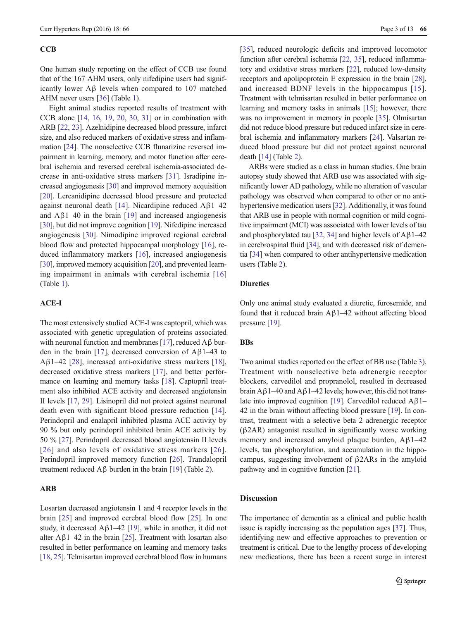#### **CCB**

One human study reporting on the effect of CCB use found that of the 167 AHM users, only nifedipine users had significantly lower Aβ levels when compared to 107 matched AHM never users [\[36](#page-12-0)] (Table [1\)](#page-3-0).

Eight animal studies reported results of treatment with CCB alone [[14,](#page-11-0) [16](#page-11-0), [19](#page-11-0), [20,](#page-11-0) [30,](#page-12-0) [31](#page-12-0)] or in combination with ARB [[22,](#page-11-0) [23](#page-11-0)]. Azelnidipine decreased blood pressure, infarct size, and also reduced markers of oxidative stress and inflammation [\[24\]](#page-11-0). The nonselective CCB flunarizine reversed impairment in learning, memory, and motor function after cerebral ischemia and reversed cerebral ischemia-associated decrease in anti-oxidative stress markers [[31](#page-12-0)]. Isradipine increased angiogenesis [[30\]](#page-12-0) and improved memory acquisition [\[20](#page-11-0)]. Lercanidipine decreased blood pressure and protected against neuronal death [[14](#page-11-0)]. Nicardipine reduced  $A\beta$ 1–42 and  $A\beta$ 1–40 in the brain [[19](#page-11-0)] and increased angiogenesis [\[30\]](#page-12-0), but did not improve cognition [[19\]](#page-11-0). Nifedipine increased angiogenesis [\[30](#page-12-0)]. Nimodipine improved regional cerebral blood flow and protected hippocampal morphology [\[16\]](#page-11-0), reduced inflammatory markers [\[16](#page-11-0)], increased angiogenesis [\[30\]](#page-12-0), improved memory acquisition [[20\]](#page-11-0), and prevented learning impairment in animals with cerebral ischemia [[16\]](#page-11-0) (Table [1](#page-3-0)).

# ACE-I

The most extensively studied ACE-I was captopril, which was associated with genetic upregulation of proteins associated with neuronal function and membranes [\[17\]](#page-11-0), reduced  $A\beta$  bur-den in the brain [\[17](#page-11-0)], decreased conversion of  $A\beta$ 1–43 to Aβ1–42 [[28](#page-12-0)], increased anti-oxidative stress markers [[18](#page-11-0)], decreased oxidative stress markers [\[17](#page-11-0)], and better performance on learning and memory tasks [\[18](#page-11-0)]. Captopril treatment also inhibited ACE activity and decreased angiotensin II levels [\[17,](#page-11-0) [29](#page-12-0)]. Lisinopril did not protect against neuronal death even with significant blood pressure reduction [\[14](#page-11-0)]. Perindopril and enalapril inhibited plasma ACE activity by 90 % but only perindopril inhibited brain ACE activity by 50 % [\[27](#page-12-0)]. Perindopril decreased blood angiotensin II levels [[26](#page-11-0)] and also levels of oxidative stress markers [26]. Perindopril improved memory function [[26\]](#page-11-0). Trandalopril treatment reduced Aβ burden in the brain [\[19](#page-11-0)] (Table [2\)](#page-6-0).

## ARB

Losartan decreased angiotensin 1 and 4 receptor levels in the brain [\[25](#page-11-0)] and improved cerebral blood flow [\[25](#page-11-0)]. In one study, it decreased A $\beta$ 1–42 [\[19](#page-11-0)], while in another, it did not alter  $A\beta$ 1–42 in the brain [[25\]](#page-11-0). Treatment with losartan also resulted in better performance on learning and memory tasks [\[18,](#page-11-0) [25](#page-11-0)]. Telmisartan improved cerebral blood flow in humans [\[35](#page-12-0)], reduced neurologic deficits and improved locomotor function after cerebral ischemia [[22](#page-11-0), [35\]](#page-12-0), reduced inflammatory and oxidative stress markers [\[22](#page-11-0)], reduced low-density receptors and apolipoprotein E expression in the brain [[28\]](#page-12-0), and increased BDNF levels in the hippocampus [\[15](#page-11-0)]. Treatment with telmisartan resulted in better performance on learning and memory tasks in animals [\[15](#page-11-0)]; however, there was no improvement in memory in people [[35](#page-12-0)]. Olmisartan did not reduce blood pressure but reduced infarct size in cerebral ischemia and inflammatory markers [[24\]](#page-11-0). Valsartan reduced blood pressure but did not protect against neuronal death [[14\]](#page-11-0) (Table [2\)](#page-6-0).

ARBs were studied as a class in human studies. One brain autopsy study showed that ARB use was associated with significantly lower AD pathology, while no alteration of vascular pathology was observed when compared to other or no antihypertensive medication users [\[32](#page-12-0)]. Additionally, it was found that ARB use in people with normal cognition or mild cognitive impairment (MCI) was associated with lower levels of tau and phosphorylated tau [\[32,](#page-12-0) [34\]](#page-12-0) and higher levels of  $A\beta$ 1–42 in cerebrospinal fluid [[34\]](#page-12-0), and with decreased risk of dementia [[34](#page-12-0)] when compared to other antihypertensive medication users (Table [2\)](#page-6-0).

# **Diuretics**

Only one animal study evaluated a diuretic, furosemide, and found that it reduced brain Aβ1–42 without affecting blood pressure [\[19\]](#page-11-0).

# BBs

Two animal studies reported on the effect of BB use (Table [3\)](#page-10-0). Treatment with nonselective beta adrenergic receptor blockers, carvedilol and propranolol, resulted in decreased brain Aβ1–40 and Aβ1–42 levels; however, this did not translate into improved cognition [[19](#page-11-0)]. Carvedilol reduced Aβ1– 42 in the brain without affecting blood pressure [\[19\]](#page-11-0). In contrast, treatment with a selective beta 2 adrenergic receptor (β2AR) antagonist resulted in significantly worse working memory and increased amyloid plaque burden, Aβ1–42 levels, tau phosphorylation, and accumulation in the hippocampus, suggesting involvement of β2ARs in the amyloid pathway and in cognitive function [\[21](#page-11-0)].

# Discussion

The importance of dementia as a clinical and public health issue is rapidly increasing as the population ages [\[37\]](#page-12-0). Thus, identifying new and effective approaches to prevention or treatment is critical. Due to the lengthy process of developing new medications, there has been a recent surge in interest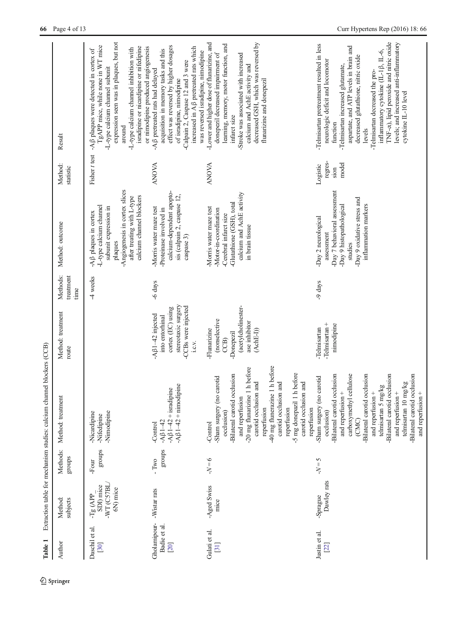<span id="page-3-0"></span>

| Table 1                              |                                                 |                     | Extraction table for mechanism studies: calcium channel blockers (CCB)                                                                                                                                                                                                                                                                         |                                                                                                                            |                               |                                                                                                                                                                                  |                                      |                                                                                                                                                                                                                                                                                                                                                                                                                            |
|--------------------------------------|-------------------------------------------------|---------------------|------------------------------------------------------------------------------------------------------------------------------------------------------------------------------------------------------------------------------------------------------------------------------------------------------------------------------------------------|----------------------------------------------------------------------------------------------------------------------------|-------------------------------|----------------------------------------------------------------------------------------------------------------------------------------------------------------------------------|--------------------------------------|----------------------------------------------------------------------------------------------------------------------------------------------------------------------------------------------------------------------------------------------------------------------------------------------------------------------------------------------------------------------------------------------------------------------------|
| Author                               | Method:<br>subjects                             | Methods:<br>sdno.fa | Method: treatment                                                                                                                                                                                                                                                                                                                              | Method: treatment<br>route                                                                                                 | Methods:<br>treatment<br>time | Method: outcome                                                                                                                                                                  | Method:<br>statistic                 | Result                                                                                                                                                                                                                                                                                                                                                                                                                     |
| Daschil et al.<br>[30]               | -WT (C57BL<br>SDI) mice<br>6N) mice<br>-Tg (APP | groups<br>-Four     | Nimodipine<br>-Nicardipine<br>-Nifedipine                                                                                                                                                                                                                                                                                                      |                                                                                                                            | 4 weeks                       | -Angiogenesis in cortex slices<br>calcium channel blockers<br>after treating with L-type<br>-L-type calcium channel<br>subunit expression in<br>-Aß plaques in cortex<br>plaques | Fisher t test                        | expression seen was in plaques, but not<br>TgAPP mice, while none in WT mice<br>isradipine or nicardipine or nifedipine<br>or nimodipine produced angiogenesis<br>-L-type calcium channel inhibition with<br>-Aß plaques were detected in cortex of<br>-L-type calcium channel subunit<br>around                                                                                                                           |
| Gholamipour-<br>Badie et al.<br>[20] | -Wistar rats                                    | groups<br>- Two     | $-A\beta1-42$ + nimodipine<br>$-A\beta$ 1-42 + isradipine<br>$-4\beta1-42$<br>-Control                                                                                                                                                                                                                                                         | stereotaxic surgery<br>-CCBs were injected<br>cortex (EC) using<br>$- A\beta 1 - 42$ injected<br>into entorhinal<br>i.c.v. | -6 days                       | calcium-dependent apopto-<br>sis (calpain 2, caspase 12,<br>-Morris water maze test<br>-Proteinase involved in<br>caspase 3)                                                     | <b>ANOVA</b>                         | effect was reversed by higher dosages<br>increased in Aß pretreated rats which<br>acquisition in memory tasks and this<br>was reversed isradipine, nimodipine<br>-Calpain 2, Caspase 12 and 3 were<br>-Aß pretreated rats had delayed<br>of isradipine, nimodipine                                                                                                                                                         |
| Gulati et al.<br>[31]                | -Aged Swiss<br>mice                             | $y = N^{-}$         | h before<br>h before<br>before<br>-Bilateral carotid occlusion<br>-Sham surgery (no carotid<br>carotid occlusion and<br>carotid occlusion and<br>carotid occlusion and<br>40 mg flunerazine 1<br>-5 mg donepazil 1 h<br>-20 mg flunarizine 1<br>and reperfusion<br>reperfusion<br>reperfusion<br>reperfusion<br>occlusion)<br>-Control         | (acetylcholinester-<br>(nonselective<br>ase inhibitor<br>Flunarizine<br>$(AchE-I)$<br>-Donepezil<br>CCB)                   |                               | calcium and AchE activity<br>-Glutathione (GSH), total<br>Morris water maze test<br>-Motor-in-coordination<br>-Cerebral infarct size<br>in brain tissue                          | <b>ANOVA</b>                         | -Lower and higher dose of flunarizine, and<br>decreased GSH, which was reversed by<br>learning, memory, motor function, and<br>donepezil decreased impairment of<br>-Stroke was associated with increased<br>calcium and AchE activity and<br>flunarizine and donepezil<br>infarct size                                                                                                                                    |
| Justin et al.<br>[22]                | Dawley rats<br>-Sprague                         | $- N = 5$           | telmisartan 5 mg/kg<br>-Bilateral carotid occlusion<br>-Bilateral carotid occlusion<br>-Bilateral carotid occlusion<br>carboxymethyl cellulose<br>-Bilateral carotid occlusion<br>-Sham surgery (no carotid<br>telmisartan 10 mg/kg<br>and reperfusion +<br>and reperfusion +<br>and reperfusion +<br>and reperfusion +<br>occlusion)<br>(CMC) | $-Te$ Imisartan +<br>nimodipine<br>-Telmisartan                                                                            | -9 days                       | -Day 7 behavioral assessment<br>-Day 9 oxidative stress and<br>-Day 9 histopathological<br>inflammation markers<br>-Day 2 neurological<br>assessment<br>studies                  | regres-<br>model<br>Logistic<br>sion | TNF-c), lipid peroxide and nitric oxide<br>levels; and increased anti-inflammatory<br>-Telmisartan pretreatment resulted in less<br>aspartate, and ATP levels in brain and<br>inflammatory cytokine (IL-1 $\beta$ , IL-6,<br>decreased glutathione, nitric oxide<br>neurologic deficit and locomotor<br>-Telmisartan increased glutamate,<br>-Telmisartan decreased the pro-<br>cytokine IL-10 level<br>function<br>levels |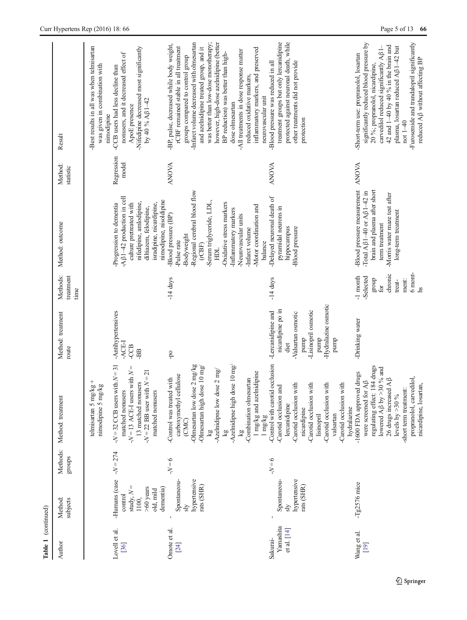| Table 1 (continued)                    |                                                                                             |                    |                                                                                                                                                                                                                                                                    |                                                                                                                                              |                                                                                        |                                                                                                                                                                                                      |                      |                                                                                                                                                                                                                                                                                                                                                     |
|----------------------------------------|---------------------------------------------------------------------------------------------|--------------------|--------------------------------------------------------------------------------------------------------------------------------------------------------------------------------------------------------------------------------------------------------------------|----------------------------------------------------------------------------------------------------------------------------------------------|----------------------------------------------------------------------------------------|------------------------------------------------------------------------------------------------------------------------------------------------------------------------------------------------------|----------------------|-----------------------------------------------------------------------------------------------------------------------------------------------------------------------------------------------------------------------------------------------------------------------------------------------------------------------------------------------------|
| Author                                 | Method:<br>subjects                                                                         | Methods:<br>groups | Method: treatment                                                                                                                                                                                                                                                  | Method: treatment<br>route                                                                                                                   | Methods:<br>treatment<br>time                                                          | Method: outcome                                                                                                                                                                                      | Method:<br>statistic | Result                                                                                                                                                                                                                                                                                                                                              |
|                                        |                                                                                             |                    | telmisartan 5 mg/kg +<br>nimodipine 5 mg/kg                                                                                                                                                                                                                        |                                                                                                                                              |                                                                                        |                                                                                                                                                                                                      |                      | Best results in all was when telmisartan<br>was given in combination with<br>nimodipine                                                                                                                                                                                                                                                             |
| Lovell et al.<br>36                    | -Humans (case<br>Ш<br>$>60$ years<br>dementia)<br>old, mild<br>study, N<br>control<br>1100, | $-N = 274$         | $-N = 32$ CCB users with $N = 31$<br>$-N = 13$ ACE-I users with $N =$<br>- $N = 22$ BB user with $N = 21$<br>13 matched nonusers<br>matched nonusers<br>matched nonusers                                                                                           | -Antihypertensives<br>-ACE-I<br>-CCB<br>-BB                                                                                                  |                                                                                        | $-A\beta$ 1-42 production in cell<br>nimodipine, nisoldipine<br>nifedipine, amlodipine,<br>culture pretreated with<br>isradipine, nicardipine,<br>-Progression to dementia<br>diltiazem, felodipine, | Regression<br>model  | Nifedipine decreased most significantly<br>nonusers, and it decreased effect of<br>-CCB users had less decline than<br>by 40 % Aß1-42<br>ApoE presence                                                                                                                                                                                              |
| Omote et al.<br>[24]                   | hypertensive<br>Spontaneou-<br>rats (SHR)<br>$\frac{1}{2}$                                  | $9 = N$ -          | -Olmesartan low dose $2 \text{ mg/kg}$<br>-Olmesartan high dose 10 mg/<br>-Azelnidipne low dose $2 \text{ mg}$<br>carboxymethyl cellulose<br>-Control was treated with<br>(CMC)<br>$\overline{\mathbf{g}}$<br>$\overline{\mathbf{g}}$                              | p <sub>0</sub>                                                                                                                               | $-14$ days                                                                             | -Regional cerebral blood flow<br>-Serum triglyceride, LDL,<br>-Oxidative stress markers<br>-Blood pressure (BP)<br>-Bodyweight<br>-Pulse rate<br>(TCBF)<br>HDL                                       | <b>ANOVA</b>         | however, high-dose azelnidipine (better<br>-Infarct volume decreased with olmesartan<br>was better than low-dose monotherapy;<br>-BP, pulse, decreased while body weight,<br>rCBF remained stable in all treatment<br>and azelnidipine treated group, and it<br>BP reduction) was better than high-<br>groups compared to control group             |
|                                        |                                                                                             |                    | $-A$ zelnidipne high dose 10 mg/<br>1 mg/kg and azelnidipine<br>-Combination olmesartan<br>1 mg/kg<br>kg                                                                                                                                                           |                                                                                                                                              |                                                                                        | -Motor coordination and<br>-Inflammatory markers<br>-Neurovascular units<br>-Infarct volume<br>balance                                                                                               |                      | inflammatory markers, and preserved<br>-All treatments in dose response matter<br>reduced oxidative markers,<br>neurovascular unit<br>dose olmesartan                                                                                                                                                                                               |
| Yamashita<br>et al. $[14]$<br>Sakurai- | hypertensive<br>Spontaneou-<br>rats (SHR)<br>sly                                            | $- N = 6$          | occlusion<br>-Carotid occlusion with<br>-Carotid occlusion with<br>-Carotid occlusion with<br>-Carotid occlusion with<br>-Carotid occlusion and<br>-Control with carotid<br>lercanidipine<br>hydralazine<br>nicardipine<br>valsartan<br>lisinopril                 | -Hydralazine osmotic<br>nicardipine po in<br>-Lisinopril osmotic<br>-Lercanidipine and<br>-Valsartan osmotic<br>pump<br>dumd<br>dumd<br>diet | $-14$ days                                                                             | -Delayed neuronal death of<br>pyramidal neurons in<br>hippocampus<br>-Blood pressure                                                                                                                 | <b>ANOVA</b>         | treatment groups but only lercanidipine<br>protected against neuronal death, while<br>other treatments did not provide<br>-Blood pressure was reduced in all<br>protection                                                                                                                                                                          |
| Wang et al.<br>$[19]$                  | -Tg2576 mice                                                                                |                    | 184 drugs<br>lowered A $\beta$ by >30 % and<br>-1600 FDA approved drugs<br>propranolol, carvedilol,<br>$26$ drugs increased A $\beta$<br>were screened for $A\beta$<br>nicardipine, losartan,<br>-short term treatment:<br>regulating effect:<br>levels by $>30\%$ | -Drinking water                                                                                                                              | 6 mont-<br>chronic<br>$-1$ month<br>-Selected<br>group<br>ment:<br>treat-<br>for<br>hs | -Blood pressure measurement<br>brain and plasma after short<br>Total A $\beta$ 1-40 or A $\beta$ 1-42 in<br>-Morris water maze test after<br>long-term treatment<br>term treatment                   | <b>ANOVA</b>         | -Furosemide and trandalopril significantly<br>significantly reduced blood pressure by<br>carvedilol reduced significantly $A\beta1-$<br>42 and $1-40$ by 40 % in the brain and<br>plasma, losartan reduced Aß1-42 but<br>-Short-term use: propranolol, losartan<br>reduced Aß without affecting BP<br>20 %; propranolol, nicardipine,<br>not $1-40$ |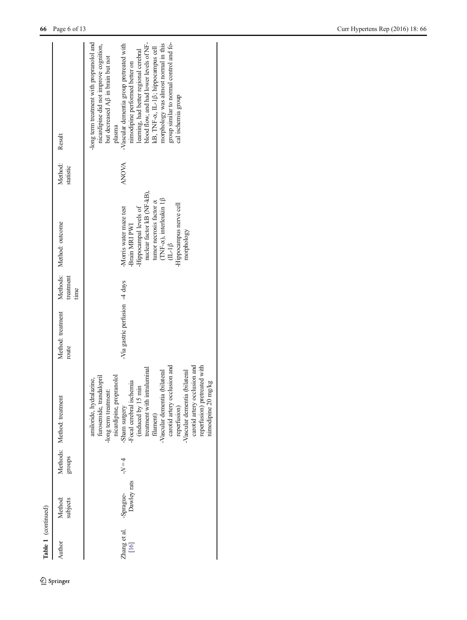| Table 1 (continued)    |                          |         |                                                                                                                                                                                                                                                                                                                                                                                                                                        |                                  |                   |                                                                                                                                                                                                                                     |                      |                                                                                                                                                                                                                                                                                                                                                                                                                                                                                          |
|------------------------|--------------------------|---------|----------------------------------------------------------------------------------------------------------------------------------------------------------------------------------------------------------------------------------------------------------------------------------------------------------------------------------------------------------------------------------------------------------------------------------------|----------------------------------|-------------------|-------------------------------------------------------------------------------------------------------------------------------------------------------------------------------------------------------------------------------------|----------------------|------------------------------------------------------------------------------------------------------------------------------------------------------------------------------------------------------------------------------------------------------------------------------------------------------------------------------------------------------------------------------------------------------------------------------------------------------------------------------------------|
| Author                 | Method:<br>subjects      | sdno.fa | Methods: Method: treatment                                                                                                                                                                                                                                                                                                                                                                                                             | Method: treatment<br>route       | treatment<br>time | Methods: Method: outcome                                                                                                                                                                                                            | Method:<br>statistic | Result                                                                                                                                                                                                                                                                                                                                                                                                                                                                                   |
| Zhang et al.<br>$[16]$ | Dawley rats<br>-Sprague- | $-N=4$  | carotid artery occlusion and<br>carotid artery occlusion and<br>reperfusion) pretreated with<br>treatment with intraluminal<br>bilateral<br>bilateral<br>furosemide, trandalopril<br>nicardipine, propranolol<br>amiloride, hydralazine,<br>-Focal cerebral ischemia<br>nimodipine 20 mg/kg<br>(induced by 15 min<br>-long term treatment:<br>-Vascular dementia (<br>-Vascular dementia<br>reperfusion)<br>-Sham surgery<br>filament) | -Via gastric perfusion $-4$ days |                   | nuclear factor kB (NF-kB),<br>$(TNF-\alpha)$ , interleukin 1 $\beta$<br>tumor necrosis factor $\alpha$<br>-Hippocampus nerve cell<br>-Hippocampal levels of<br>-Morris water maze test<br>-Brain MRI PWI<br>morphology<br>$(L-1)^3$ | <b>ANOVA</b>         | blood flow, and had lower levels of NF-<br>long term treatment with propranolol and<br>group similar to normal control and fo-<br>morphology was almost normal in this<br>-Vascular dementia group pretreated with<br>nicardipine did not improve cognition,<br>kB, TNF- $\alpha$ , IL-1 $\beta$ ; hippocampus cell<br>learning, had better regional cerebral<br>but decreased A <sub>1</sub> $\beta$ in brain but not<br>nimodipine performed better on<br>cal ischemia group<br>plasma |
|                        |                          |         |                                                                                                                                                                                                                                                                                                                                                                                                                                        |                                  |                   |                                                                                                                                                                                                                                     |                      |                                                                                                                                                                                                                                                                                                                                                                                                                                                                                          |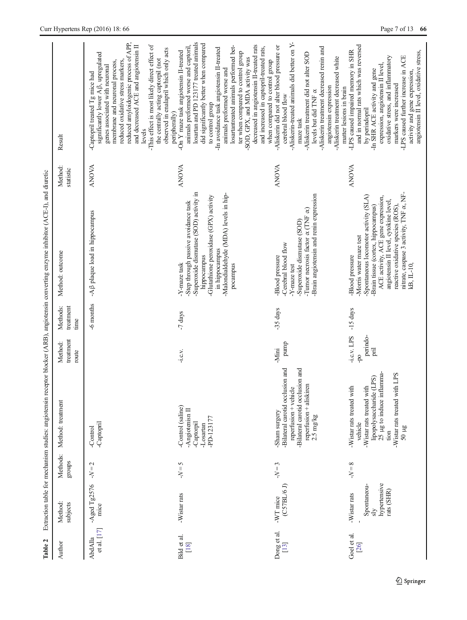<span id="page-6-0"></span>

| Table 2                  |                                                                  |                    |                                                                                                                                                                                        |                                       |                               | Extraction table for mechanism studies: angiotensin receptor blocker (ARB), angiotensin converting enzyme inhibitor (ACE-I), and diuretic                                                                                                                                                              |                      |                                                                                                                                                                                                                                                                                                                                                                                                                                                                                                   |
|--------------------------|------------------------------------------------------------------|--------------------|----------------------------------------------------------------------------------------------------------------------------------------------------------------------------------------|---------------------------------------|-------------------------------|--------------------------------------------------------------------------------------------------------------------------------------------------------------------------------------------------------------------------------------------------------------------------------------------------------|----------------------|---------------------------------------------------------------------------------------------------------------------------------------------------------------------------------------------------------------------------------------------------------------------------------------------------------------------------------------------------------------------------------------------------------------------------------------------------------------------------------------------------|
| Author                   | Method:<br>subjects                                              | Methods:<br>groups | Method: treatment                                                                                                                                                                      | treatment<br>Method:<br>route         | Methods:<br>treatment<br>time | Method: outcome                                                                                                                                                                                                                                                                                        | Method:<br>statistic | Result                                                                                                                                                                                                                                                                                                                                                                                                                                                                                            |
| et al. $[17]$<br>AbdAlla | $-A$ ged Tg2576<br>mice                                          | $-N = 2$           | -Captopril<br>-Control                                                                                                                                                                 |                                       | -6 months                     | -Aß plaque load in hippocampus                                                                                                                                                                                                                                                                         | <b>ANOVA</b>         | reduced amyloidogenic process of APP,<br>and decreased ACE and angiotensin II<br>-This effect is most likely direct effect of<br>observed in enalapril which only acts<br>significantly lower A <sub>[</sub> B, upregulated<br>the centrally acting captorpil (not<br>membrane and neuronal process,<br>reduced oxidative stress markers,<br>genes associated with neuronal<br>-Captopril treated Tg mice had<br>levels                                                                           |
| Bild et al.<br>[18]      | -Wistar rats                                                     | $S = N^{-}$        | -Control (saline)<br>-Angiotenisn II<br>-PD-123177<br>-Captorpil<br>-Losartan                                                                                                          | $-1.C.V.$                             | -7 days                       | Superoxide dismutase (SOD) activity in<br>-Malondialdehyde (MDA) levels in hip-<br>-Glutathione peroxidase (GPX) activity<br>-Step through passive avoidance task<br>in hippocampus<br>hippocampus<br>-Y-maze task<br>pocampus                                                                         | <b>ANOVA</b>         | losartan and PD 123177 treated animals<br>did significantly better when compared<br>decreased in angiotensin II-treated rats<br>animals preformed worse and captoril,<br>losartantreated animals performed bet-<br>and increased in captopril-treated rats,<br>-In avoidance task angiotensin II-treated<br>-On $Y$ maze task angiotensin II-treated<br>ter when compared to control group<br>-SOD, GPX, and MDA activity was<br>animals preformed worse and<br>to control group<br>peripherally) |
| Dong et al.<br>[13]      | (C57BL/6 J)<br>-WT mice                                          | $-N=3$             | -Bilateral carotid occlusion and<br>-Bilateral carotid occlusion and<br>reperfusion + aliskiren<br>reperfusion + vehicle<br>-Sham surgery<br>2.5 mg/kg                                 | dumd<br>-Mini                         | -35 days                      | -Brain angiotensin and renin expression<br>-Tumor necrosis factor $\alpha$ (TNF $\alpha)$<br>-Superoxide dismutase (SOD)<br>-Cerebral blood flow<br>-Blood pressure<br>$-Y$ -maze test                                                                                                                 | <b>ANOVA</b>         | -Aliskerin-treated animals did better on Y-<br>-Aliskerin did not alter blood pressure or<br>-Aliskerin treatment decreased renin and<br>-Aliskerin treatment did not alter SOD<br>-Aliskerin treatment decreased white<br>when compared to control group<br>angiotensin expression<br>levels but did TNF $\alpha$<br>cerebral blood flow<br>maze task                                                                                                                                            |
| Goel et al.<br>[26]      | hypertensive<br>Spontaneou-<br>rats (SHR)<br>-Wistar rats<br>sly | $8-N^-$            | lipopolysaccharide (LPS)<br>$25 \mu$ g to induce inflamma-<br>-Wistar rats treated with LPS<br>-Wistar rats treated with<br>-Wistar rats treated with<br>vehicle<br>$50 \mu g$<br>tion | -i.c.v. LPS<br>perindo-<br>pril<br>po | $-15$ days                    | nitrate, caspase 3 activity, TNF a, NF-<br>-Spontaneous locomotor activity (SLA)<br>ACE activity, ACE gene expression,<br>angiotensin II level, cytokine level,<br>reactive oxidative species (ROS),<br>-Brain tissue (cortex, hippocampus)<br>-Morris water maze test<br>-Blood pressure<br>kB, L-10, | <b>ANOVA</b>         | and in normal rats which was reversed<br>-LPS caused impaired memory in SHR<br>angiotensin II level, oxidative stress,<br>-LPS caused further increase in ACE<br>oxidative stress, and inflammatory<br>expression, angiotensin II level,<br>-In SHR ACE activity and gene<br>activity and gene expression,<br>markers were increased<br>matter lesions in brain<br>by perindopril                                                                                                                 |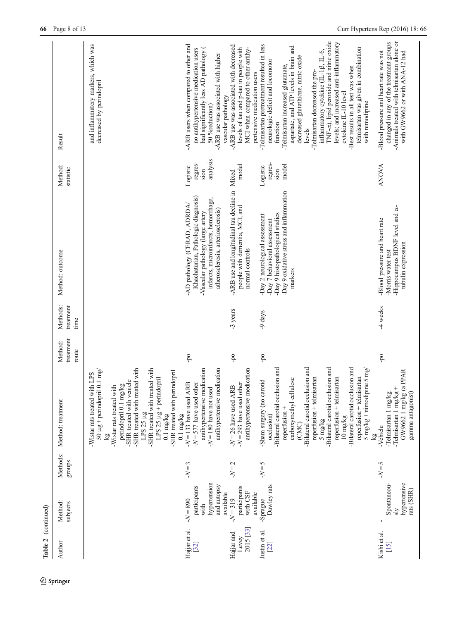| Table 2 (continued)              |                                                                                 |                     |                                                                                                                                                                                                                                                                                                                                                                                                      |                               |                               |                                                                                                                                                                                       |                                         |                                                                                                                                                                                                                                                                                                                                                                                                                                                                                                                                     |
|----------------------------------|---------------------------------------------------------------------------------|---------------------|------------------------------------------------------------------------------------------------------------------------------------------------------------------------------------------------------------------------------------------------------------------------------------------------------------------------------------------------------------------------------------------------------|-------------------------------|-------------------------------|---------------------------------------------------------------------------------------------------------------------------------------------------------------------------------------|-----------------------------------------|-------------------------------------------------------------------------------------------------------------------------------------------------------------------------------------------------------------------------------------------------------------------------------------------------------------------------------------------------------------------------------------------------------------------------------------------------------------------------------------------------------------------------------------|
| Author                           | Method:<br>subjects                                                             | Methods:<br>groups  | Method: treatment                                                                                                                                                                                                                                                                                                                                                                                    | treatment<br>Method:<br>route | treatment<br>Methods:<br>time | Method: outcome                                                                                                                                                                       | Method:<br>statistic                    | Result                                                                                                                                                                                                                                                                                                                                                                                                                                                                                                                              |
|                                  |                                                                                 |                     | -SHR treated with treated with<br>-SHR treated with treated with<br>$0.1 \text{ mg}$<br>-SHR treated with perindopril<br>-Wistar rats treated with LPS<br>LPS 25 µg + perindopril<br>-SHR treated with venicle<br>-Wistar rats treated with<br>perindopril 0.1 mg/kg<br>$50 \mu g +$ perindopril<br>LPS 25 µg<br>$0.1$ mg/kg<br>$0.1 \; {\rm mg/kg}$<br>kg                                           |                               |                               |                                                                                                                                                                                       |                                         | and inflammatory markers, which was<br>decreased by perindopril                                                                                                                                                                                                                                                                                                                                                                                                                                                                     |
| Hajjar et al.<br>[32]            | hypertension<br>and autopsy<br>participants<br>available<br>$068 = N$ -<br>with | $\epsilon$<br>$N =$ | antihypertensive medication<br>antihypertensive medication<br>$-N = 577$ have used other<br>- $N = 133$ have used ARB<br>$-N = 180$ have not used                                                                                                                                                                                                                                                    | pq-                           |                               | Khachaturian, Pathologic diagnosis)<br>infarcts, microinfarcts, hemorrhage,<br>-AD pathology (CERAD, ADRDA/<br>atherosclerosis, arteriosclerosis)<br>Vascular pathology (large artery | analysis<br>regres-<br>Logistic<br>sion | -ARB users when compared to other and<br>had significantly less AD pathology (<br>no antihypertensive medication users<br>-ARB use was associated with higher<br>vascular pathology<br>50 %reduction)                                                                                                                                                                                                                                                                                                                               |
| 2015 [33]<br>Hajjar and<br>Levey | participants<br>with CSF<br>available<br>$-N = 319$                             | $-N=2$              | antihypertensive medication<br>$-N = 293$ have used other<br>$-N = 26$ have used ARB                                                                                                                                                                                                                                                                                                                 | pq-                           | -3 years                      | -ARB use and longitudinal tau decline in Mixed<br>people with dementia, MCI, and<br>normal controls                                                                                   | model                                   | -ARB use was associated with decreased<br>MCI when compared to other antihy-<br>levels of tau and p-tau in people with<br>pertensive medication users                                                                                                                                                                                                                                                                                                                                                                               |
| Justin et al.<br>[22]            | Dawley rats<br>-Sprague                                                         | $- N = 5$           | -Bilateral carotid occlusion and<br>-Bilateral carotid occlusion and<br>-Bilateral carotid occlusion and<br>-Bilateral carotid occlusion and<br>5 mg/kg + nimodipine 5 mg/<br>reperfusion + telmisartan<br>reperfusion + telmisartan<br>reperfusion + telmisartan<br>carboxymethyl cellulose<br>-Sham surgery (no carotid<br>reperfusion +<br>occlusion)<br>$10 \text{ mg/kg}$<br>$5$ mg/kg<br>(CMC) | p <sub>0</sub>                | -9 days                       | -Day 9 oxidative stress and inflammation<br>-Day 9 histopathological studies<br>-Day 2 neurological assessment<br>-Day 7 behavioral assessment<br>markers                             | regres-<br>model<br>Logistic<br>sion    | $TNF-\alpha$ ), lipid peroxide and nitric oxide<br>levels; and increased anti-inflammatory<br>-Telmisartan pretreatment resulted in less<br>aspartate, and ATP levels in brain and<br>telmisartan was given in combination<br>inflammatory cytokine (IL-1 $\beta$ , IL-6,<br>decreased glutathione, nitric oxide<br>neurologic deficit and locomotor<br>-Telmisartan increased glutamate,<br>-Best results in all test was when<br>-Telmisartan decreased the pro-<br>cytokine IL-10 level<br>with nimodipine<br>function<br>levels |
| Kishi et al.<br>[15]             | hypertensive<br>Spontaneou-<br>rats (SHR)<br>$\epsilon$ ls                      | $5 = N$ -           | GW9662 1 mg/kg (a PPAR<br>-Telmisartan 1 mg/kg +<br>-Telmisartan 1 mg/kg<br>gamma antagonist)<br>-Vehicle<br>Σă                                                                                                                                                                                                                                                                                      | ρq.                           | 4 weeks                       | -Hippocampus BDNF level and a-<br>-Blood pressure and heart rate<br>tubulin expression<br>-Morris water test                                                                          | <b>ANOVA</b>                            | -Animals treated with telmisartan alone or<br>changed in any of the treatment groups<br>-Blood pressure and heart rate was not<br>with GW9662 or with ANA-12 had                                                                                                                                                                                                                                                                                                                                                                    |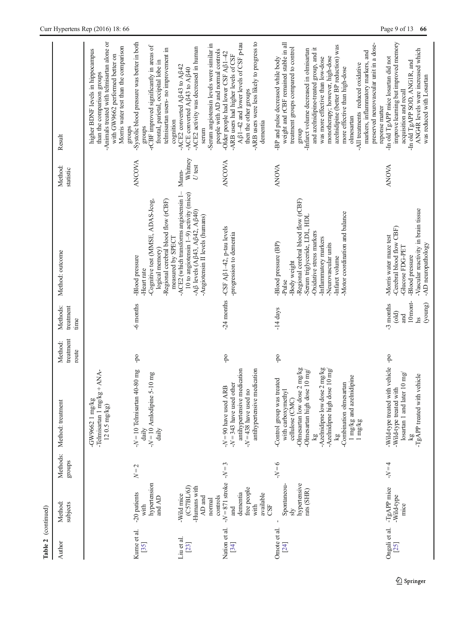| Table 2 (continued)   |                                                                                          |                    |                                                                                                                                                                                                                                                                                                                    |                               |                                                                              |                                                                                                                                                                                                                                                             |                            |                                                                                                                                                                                                                                                                                                                                                                                                                                                                                                          |
|-----------------------|------------------------------------------------------------------------------------------|--------------------|--------------------------------------------------------------------------------------------------------------------------------------------------------------------------------------------------------------------------------------------------------------------------------------------------------------------|-------------------------------|------------------------------------------------------------------------------|-------------------------------------------------------------------------------------------------------------------------------------------------------------------------------------------------------------------------------------------------------------|----------------------------|----------------------------------------------------------------------------------------------------------------------------------------------------------------------------------------------------------------------------------------------------------------------------------------------------------------------------------------------------------------------------------------------------------------------------------------------------------------------------------------------------------|
| Author                | Method:<br>subjects                                                                      | Methods:<br>groups | Method: treatment                                                                                                                                                                                                                                                                                                  | treatment<br>Method:<br>route | treatment<br>Methods:<br>time                                                | Method: outcome                                                                                                                                                                                                                                             | Method:<br>statistic       | Result                                                                                                                                                                                                                                                                                                                                                                                                                                                                                                   |
|                       |                                                                                          |                    | $+ ANA -$<br>-Telmisartan 1 mg/kg<br>-GW9662 1 mg/kg<br>$120.5 \text{ mg/kg}$                                                                                                                                                                                                                                      |                               |                                                                              |                                                                                                                                                                                                                                                             |                            | -Animals treated with telmisartan alone or<br>Morris water test than the comparison<br>higher BDNF levels in hippocampus<br>with GW9662 performed better on<br>than the comparison groups                                                                                                                                                                                                                                                                                                                |
| Kume et al.<br>$[35]$ | hypertension<br>-20 patients<br>and AD<br>with                                           | $N=2$              | - $N = 10$ Telmisartan 40-80 mg<br>$5-10$ mg<br>daily<br>$-N = 10$ Amlodipine<br>daily                                                                                                                                                                                                                             | od-                           | $-6$ months                                                                  | -Regional cerebral blood flow (rCBF)<br>-Cognitive test (MMSE, ADAS-Jcog,<br>logical memory)<br>-Blood pressure<br>-Heart rate                                                                                                                              | ANCOVA                     | -Systolic blood pressure was better in both<br>-rCBF improved significantly in areas of<br>telmisartan users- no improvement in<br>frontal, parietal, occipital lobe in<br>groups<br>groups                                                                                                                                                                                                                                                                                                              |
| Liu et al.<br>[23]    | (C57BL/6J)<br>-Humans with<br>-Wild mice<br>AD and<br>controls<br>normal                 |                    |                                                                                                                                                                                                                                                                                                                    |                               |                                                                              | 10 to angiotensin $1-9$ ) activity (mice)<br>-ACE2 (which transforms angiotensin 1-<br>$-$ A $\beta$ levels (A $\beta$ 43, A $\beta$ 42, A $\beta$ 40)<br>-Angiotensin II levels (humans)<br>measured by SPECT                                              | Whitney<br>U test<br>Mann- | -Serum angiotensin levels were similar in<br>-ACE2 activity was decreased in human<br>people with AD and normal controls<br>-ACE2 converted A $\beta$ 43 to A $\beta$ 42<br>-ACE converted A $\beta$ 43 to A $\beta$ 40<br>cognition<br>serum                                                                                                                                                                                                                                                            |
| Nation et al.<br>[34] | $-N = 871$ stroke $-N = 3$<br>free people<br>dementia<br>available<br>with<br>CSF<br>and |                    | antihypertensive medication<br>antihypertensive medication<br>$-N$ = 343 have used other<br>- $N = 90$ have used ARB<br>- $N$ = 438 have used no                                                                                                                                                                   | pq-                           | $-24$ months                                                                 | -CSF Aß1-42, p-tau levels<br>-progression to dementia                                                                                                                                                                                                       | ANCOVA                     | Aβ1-42 and lower levels of CSF p-tau<br>-ARB users were less likely to progress to<br>-Older people had lower CSF Aß1-42<br>-ARB users had higher levels of CSF<br>then the other groups<br>dementia                                                                                                                                                                                                                                                                                                     |
| Omote et al.<br>[24]  | hypertensive<br>Spontaneou-<br>rats (SHR)<br>sly                                         | $-10 = 6$          | -Azelnidipne low dose $2$ mg/kg<br>-Olmesartan low dose 2 mg/kg<br>-Azelnidipne high dose $10 \text{ mg}$<br>-Olmesartan high dose 10 mg<br>1 mg/kg and azelnidipine<br>-Control group was treated<br>-Combination olmesartan<br>with carboxymethyl<br>cellulose (CMC)<br>1 mg/kg<br>kg<br>$\overline{\mathbf{g}}$ | pq-                           | $-14$ days                                                                   | -Regional cerebral blood flow (rCBF)<br>-Motor coordination and balance<br>-Serum triglyceride, LDL, HDL<br>-Oxidative stress markers<br>-Inflammatory markers<br>-Blood pressure (BP)<br>-Neurovascular units<br>-Infarct volume<br>-Body weight<br>-Pulse | ANOVA                      | weight and rCBF remained stable in all<br>preserved neurovascular unit in a dose-<br>azelnidipine (better BP reduction) was<br>treatment groups compared to control<br>and azelnidipine-treated group, and it<br>-Infarct volume decreased in olmisartan<br>markers, inflammatory markers, and<br>monotherapy; however, high-dose<br>was more effective than low-dose<br>-BP and pulse decreased while body<br>-All treatments reduced oxidative<br>more effective than high-dose<br>olmesartan<br>group |
| Ongali et al.<br>[25] | -TgAPP mice<br>-Wild-type<br>mice                                                        | $-N=4$             | -Wild-type treated with vehicle<br>losartan 1 and later 10 mg/<br>-TgAPP treated with vehicle<br>-Wild-type treated with<br>kg                                                                                                                                                                                     | P <sub>0</sub>                | $10$ mont-<br>(young)<br>$-3$ months<br>$\overline{\text{old}}$<br>and<br>hs | -Vascular reactivity in brain tissue<br>-Cerebral blood flow CBF)<br>-Morris water maze test<br>-AD neuropathology<br>-Glucose FDG-PET<br>-Blood pressure                                                                                                   | <b>ANOVA</b>               | improve learning but improved memory<br>ANG4R levels were increased which<br>-In old TgAPP mice losartan did not<br>In old TgAPP SOD, ANGIR, and<br>was reduced with Losartan<br>acquisition and recall<br>reponse matter                                                                                                                                                                                                                                                                                |

 $\underline{\textcircled{\tiny 2}}$  Springer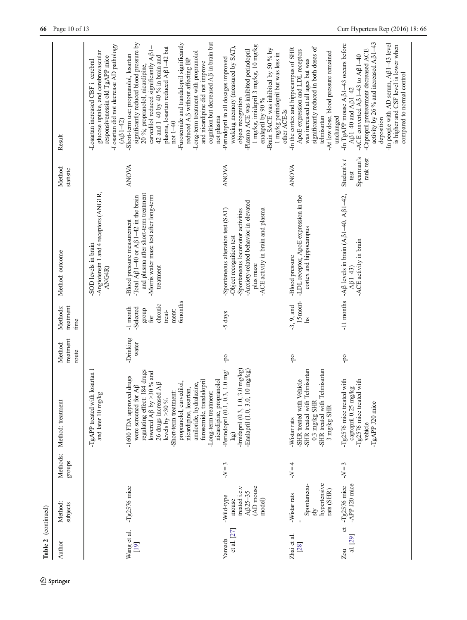| Author                  | Method:                                                                         | Methods: | Method: treatment                                                                                                                                                                                                                                                                                                                                                       | Method:            | Methods:                                                                                | Method: outcome                                                                                                                                                                              | Method:                                        | Result                                                                                                                                                                                                                                                                                                                                                                                                                                                                         |
|-------------------------|---------------------------------------------------------------------------------|----------|-------------------------------------------------------------------------------------------------------------------------------------------------------------------------------------------------------------------------------------------------------------------------------------------------------------------------------------------------------------------------|--------------------|-----------------------------------------------------------------------------------------|----------------------------------------------------------------------------------------------------------------------------------------------------------------------------------------------|------------------------------------------------|--------------------------------------------------------------------------------------------------------------------------------------------------------------------------------------------------------------------------------------------------------------------------------------------------------------------------------------------------------------------------------------------------------------------------------------------------------------------------------|
|                         | subjects                                                                        | groups   |                                                                                                                                                                                                                                                                                                                                                                         | treatment<br>route | treatment<br>time                                                                       |                                                                                                                                                                                              | statistic                                      |                                                                                                                                                                                                                                                                                                                                                                                                                                                                                |
|                         |                                                                                 |          | -TgAPP treated with losartan 1<br>and later 10 mg/kg                                                                                                                                                                                                                                                                                                                    |                    |                                                                                         | -Angiotensin 1 and 4 receptors (ANG1R,<br>SOD levels in brain<br>ANG4R)                                                                                                                      |                                                | -Losartan did not decrease AD pathology<br>glucose uptake, and cerebrovascular<br>responsivenessin old TgAPP mice<br>-Losartan increased CBF i cerebral<br>$(A\beta1 - 42)$                                                                                                                                                                                                                                                                                                    |
| Wang et al.<br>[19]     | -Tg2576 mice                                                                    |          | regulating effect: 184 drugs<br>$9\%$ and<br>drugs<br>furosemide, trandalopril<br>propranolol, carvedilol,<br>$A\beta$<br>amiloride, hydralazine,<br>were screened for A <sub>p</sub><br>nicardipine, losartan,<br>lowered $\mathbb{A}\beta$ by $>30$<br>-Short-term treatment:<br>-Long-term treatment:<br>26 drugs increased<br>-1600 FDA approved<br>levels by >30 % | -Drinking<br>water | <b>6months</b><br>chronic<br>$-1$ month<br>-Selected<br>group<br>ment:<br>treat-<br>for | and plasma after short-term treatment<br>-Morris water maze test after long-term<br>Total A $\beta$ 1–40 or A $\beta$ 1–42 in the brain<br>-Blood pressure measurement<br>treatment          | <b>ANOVA</b>                                   | cognition but decreased Aß in brain but<br>significantly reduced blood pressure by<br>-Furosemide and trandalopril significantly<br>plasma, losartan reduced Aß1-42 but<br>carvedilol reduced significantly Aß1-<br>-Long-term treatment with propranolol<br>-Short-term use: propranolol, losartan<br>42 and $1-40$ by 40 % in brain and<br>reduced A <sub>1</sub> 3 without affecting BP<br>and nicardipine did not improve<br>20 %; propranolol, nicardipine,<br>not $1-40$ |
| et al. $[27]$<br>Yamada | (AD mouse<br>treated i.c.v<br>$A\beta 25 - 35$<br>-Wild-type<br>model)<br>mouse | $-N=3$   | -Imidapril (0.3, 1.0, 3.0 mg/kg)<br>-Enalapril (1.0, 3.0, 10 mg/kg)<br>$1.0 \text{ mg}$<br>nicardipine, propranolol<br>Perindopril (0.1, 0.3,<br>$\mathbf{k}$ g)                                                                                                                                                                                                        | po-                | -5 days                                                                                 | Anxiety-related behavior in elevated<br>-ACE activity in brain and plasma<br>Spontaneous alteration test (SAT)<br>-Spontaneous locomotor activities<br>-Object recognition test<br>plus maze | <b>ANOVA</b>                                   | 1 mg/kg, imidapril 3 mg/kg, 10 mg/kg<br>working memory (measured by SAT),<br>-Brain SACE was inhibited by 50 % by<br>-Plasma ACE was inhibited perindopril<br>1 mg/kg perindopril but was less in<br>-Perindopril in all dosages improved<br>object recognition<br>enalapril by 90 %<br>not plasma                                                                                                                                                                             |
| Zhai et al.<br>[28]     | hypertensive<br>Spontaneou-<br>rats (SHR)<br>-Wistar rats<br>sly                | $-N=4$   | -SHR treated with Telmisartan<br>-SHR treated with Telmisartan<br>-SHR treated with Vehicle<br>$0.3 \text{ mg/kg SHR}$<br>3 mg/kg SHR<br>-Wistar rats                                                                                                                                                                                                                   | рq-                | 15 mont-<br>$-3, 9, and$<br>hs                                                          | -LDL receptor, ApoE expression in the<br>cortex and hippocampus<br>-Blood pressure                                                                                                           | <b>ANOVA</b>                                   | significantly reduced in both doses of<br>-In the cortex and hippocampus of SHR<br>ApoE expression and LDL receptors<br>-At low dose, blood pressure remained<br>was increased at all ages but was<br>other ACE-Is<br>telmisartan                                                                                                                                                                                                                                              |
| al. [29]<br>Zou         | -APP J20 mice<br>et -Tg2576 mice                                                | $-N=3$   | with<br>with<br>captopril 0.25 mg/kg<br>-Tg2576 mice treated<br>-Tg2576 mice treated<br>-TgAPP J20 mice<br>vehicle                                                                                                                                                                                                                                                      | pq-                |                                                                                         | -11 months $-A\beta$ levels in brain $(A\beta1-40, A\beta1-42,$<br>-ACE activity in brain<br>$A\beta1 - 43$                                                                                  | Spearman's<br>rank test<br>Student's t<br>test | activity by 26 % and increased Aß1-43<br>-In TgAPP mouse $A\beta1-43$ occurs before<br>-In people with AD serum, $A\beta$ 1-43 level<br>is higher and CSF level is lower when<br>-Captopril pretreatment decreased ACE<br>-ACE converted $A\beta$ 1-43 to $A\beta$ 1-40<br>compared to normal control<br>A $\beta$ 1-40 and A $\beta$ 1-42<br>unchanged<br>deposition                                                                                                          |

 $\underline{\textcircled{\tiny 2}}$  Springer

Table 2 (continued)

Table 2 (continued)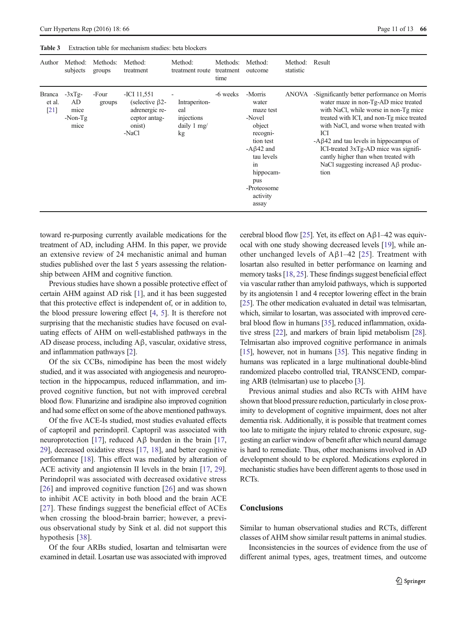<span id="page-10-0"></span>

|                 |                                 |     | <b>Table 3</b> Extraction table for mechanism studies: beta blockers |                  |  |
|-----------------|---------------------------------|-----|----------------------------------------------------------------------|------------------|--|
|                 | Author Method: Methods: Method: |     | Method:                                                              | Methods: Method: |  |
| oukioata avenua |                                 | $+$ | tratracy rante tratracy autocomo                                     |                  |  |

| Author                                        | Method:<br>subjects                       | Methods:<br>groups | Method:<br>treatment                                                                         | Method:<br>treatment route                                       | Methods:<br>treatment<br>time | Method:<br>outcome                                                                                                                                                         | Method:<br>statistic | Result                                                                                                                                                                                                                                                                                                                                                                                                             |
|-----------------------------------------------|-------------------------------------------|--------------------|----------------------------------------------------------------------------------------------|------------------------------------------------------------------|-------------------------------|----------------------------------------------------------------------------------------------------------------------------------------------------------------------------|----------------------|--------------------------------------------------------------------------------------------------------------------------------------------------------------------------------------------------------------------------------------------------------------------------------------------------------------------------------------------------------------------------------------------------------------------|
| <b>Branca</b><br>et al.<br>$\lceil 21 \rceil$ | $-3xTg-$<br>AD<br>mice<br>-Non-Tg<br>mice | -Four<br>groups    | $-ICI$ 11,551<br>(selective $\beta$ 2-<br>adrenergic re-<br>ceptor antag-<br>onist)<br>-NaCl | Intraperiton-<br>eal<br>injections<br>daily $1 \text{ mg}$<br>kg | -6 weeks                      | -Morris<br>water<br>maze test<br>-Novel<br>object<br>recogni-<br>tion test<br>$-A\beta$ 42 and<br>tau levels<br>in<br>hippocam-<br>pus<br>-Proteosome<br>activity<br>assay | <b>ANOVA</b>         | -Significantly better performance on Morris<br>water maze in non-Tg-AD mice treated<br>with NaCl, while worse in non-Tg mice<br>treated with ICI, and non-Tg mice treated<br>with NaCl, and worse when treated with<br>ICI<br>$-A\beta$ 42 and tau levels in hippocampus of<br>ICI-treated 3xTg-AD mice was signifi-<br>cantly higher than when treated with<br>NaCl suggesting increased $A\beta$ produc-<br>tion |

toward re-purposing currently available medications for the treatment of AD, including AHM. In this paper, we provide an extensive review of 24 mechanistic animal and human studies published over the last 5 years assessing the relationship between AHM and cognitive function.

Previous studies have shown a possible protective effect of certain AHM against AD risk [\[1](#page-11-0)], and it has been suggested that this protective effect is independent of, or in addition to, the blood pressure lowering effect [\[4](#page-11-0), [5\]](#page-11-0). It is therefore not surprising that the mechanistic studies have focused on evaluating effects of AHM on well-established pathways in the AD disease process, including Aβ, vascular, oxidative stress, and inflammation pathways [[2\]](#page-11-0).

Of the six CCBs, nimodipine has been the most widely studied, and it was associated with angiogenesis and neuroprotection in the hippocampus, reduced inflammation, and improved cognitive function, but not with improved cerebral blood flow. Flunarizine and isradipine also improved cognition and had some effect on some of the above mentioned pathways.

Of the five ACE-Is studied, most studies evaluated effects of captopril and perindopril. Captopril was associated with neuroprotection [\[17\]](#page-11-0), reduced Aβ burden in the brain [[17,](#page-11-0) [29\]](#page-12-0), decreased oxidative stress [\[17,](#page-11-0) [18](#page-11-0)], and better cognitive performance [\[18](#page-11-0)]. This effect was mediated by alteration of ACE activity and angiotensin II levels in the brain [\[17](#page-11-0), [29\]](#page-12-0). Perindopril was associated with decreased oxidative stress [\[26\]](#page-11-0) and improved cognitive function [\[26](#page-11-0)] and was shown to inhibit ACE activity in both blood and the brain ACE [\[27\]](#page-12-0). These findings suggest the beneficial effect of ACEs when crossing the blood-brain barrier; however, a previous observational study by Sink et al. did not support this hypothesis [\[38](#page-12-0)].

Of the four ARBs studied, losartan and telmisartan were examined in detail. Losartan use was associated with improved cerebral blood flow [\[25\]](#page-11-0). Yet, its effect on  $A\beta$ 1–42 was equivocal with one study showing decreased levels [[19](#page-11-0)], while an-other unchanged levels of Aβ1–42 [[25](#page-11-0)]. Treatment with losartan also resulted in better performance on learning and memory tasks [\[18,](#page-11-0) [25\]](#page-11-0). These findings suggest beneficial effect via vascular rather than amyloid pathways, which is supported by its angiotensin 1 and 4 receptor lowering effect in the brain [\[25\]](#page-11-0). The other medication evaluated in detail was telmisartan, which, similar to losartan, was associated with improved cerebral blood flow in humans [\[35\]](#page-12-0), reduced inflammation, oxidative stress [[22](#page-11-0)], and markers of brain lipid metabolism [\[28\]](#page-12-0). Telmisartan also improved cognitive performance in animals [\[15\]](#page-11-0), however, not in humans [\[35\]](#page-12-0). This negative finding in humans was replicated in a large multinational double-blind randomized placebo controlled trial, TRANSCEND, comparing ARB (telmisartan) use to placebo [[3\]](#page-11-0).

Previous animal studies and also RCTs with AHM have shown that blood pressure reduction, particularly in close proximity to development of cognitive impairment, does not alter dementia risk. Additionally, it is possible that treatment comes too late to mitigate the injury related to chronic exposure, suggesting an earlier window of benefit after which neural damage is hard to remediate. Thus, other mechanisms involved in AD development should to be explored. Medications explored in mechanistic studies have been different agents to those used in RCTs.

# **Conclusions**

Similar to human observational studies and RCTs, different classes of AHM show similar result patterns in animal studies.

Inconsistencies in the sources of evidence from the use of different animal types, ages, treatment times, and outcome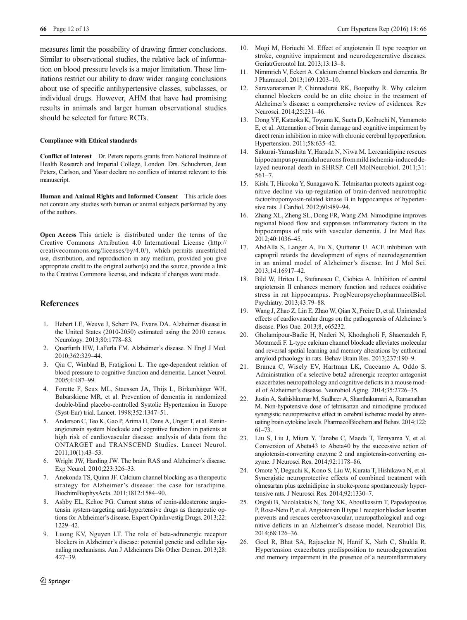<span id="page-11-0"></span>measures limit the possibility of drawing firmer conclusions. Similar to observational studies, the relative lack of information on blood pressure levels is a major limitation. These limitations restrict our ability to draw wider ranging conclusions about use of specific antihypertensive classes, subclasses, or individual drugs. However, AHM that have had promising results in animals and larger human observational studies should be selected for future RCTs.

#### Compliance with Ethical standards

Conflict of Interest Dr. Peters reports grants from National Institute of Health Research and Imperial College, London. Drs. Schuchman, Jean Peters, Carlson, and Yasar declare no conflicts of interest relevant to this manuscript.

Human and Animal Rights and Informed Consent This article does not contain any studies with human or animal subjects performed by any of the authors.

Open Access This article is distributed under the terms of the Creative Commons Attribution 4.0 International License (http:// creativecommons.org/licenses/by/4.0/), which permits unrestricted use, distribution, and reproduction in any medium, provided you give appropriate credit to the original author(s) and the source, provide a link to the Creative Commons license, and indicate if changes were made.

# References

- 1. Hebert LE, Weuve J, Scherr PA, Evans DA. Alzheimer disease in the United States (2010-2050) estimated using the 2010 census. Neurology. 2013;80:1778–83.
- 2. Querfurth HW, LaFerla FM. Alzheimer's disease. N Engl J Med. 2010;362:329–44.
- 3. Qiu C, Winblad B, Fratiglioni L. The age-dependent relation of blood pressure to cognitive function and dementia. Lancet Neurol. 2005;4:487–99.
- 4. Forette F, Seux ML, Staessen JA, Thijs L, Birkenhäger WH, Babarskiene MR, et al. Prevention of dementia in randomized double-blind placebo-controlled Systolic Hypertension in Europe (Syst-Eur) trial. Lancet. 1998;352:1347–51.
- 5. Anderson C, Teo K, Gao P, Arima H, Dans A, Unger T, et al. Reninangiotensin system blockade and cognitive function in patients at high risk of cardiovascular disease: analysis of data from the ONTARGET and TRANSCEND Studies. Lancet Neurol. 2011;10(1):43–53.
- 6. Wright JW, Harding JW. The brain RAS and Alzheimer's disease. Exp Neurol. 2010;223:326–33.
- 7. Anekonda TS, Quinn JF. Calcium channel blocking as a therapeutic strategy for Alzheimer's disease: the case for isradipine. BiochimBiophysActa. 2011;1812:1584–90.
- 8. Ashby EL, Kehoe PG. Current status of renin-aldosterone angiotensin system-targeting anti-hypertensive drugs as therapeutic options for Alzheimer's disease. Expert OpinInvestig Drugs. 2013;22: 1229–42.
- 9. Luong KV, Nguyen LT. The role of beta-adrenergic receptor blockers in Alzheimer's disease: potential genetic and cellular signaling mechanisms. Am J Alzheimers Dis Other Demen. 2013;28: 427–39.
- 10. Mogi M, Horiuchi M. Effect of angiotensin II type receptor on stroke, cognitive impairment and neurodegenerative diseases. GeriatrGerontol Int. 2013;13:13–8.
- 11. Nimmrich V, Eckert A. Calcium channel blockers and dementia. Br J Pharmacol. 2013;169:1203–10.
- 12. Saravanaraman P, Chinnadurai RK, Boopathy R. Why calcium channel blockers could be an elite choice in the treatment of Alzheimer's disease: a comprehensive review of evidences. Rev Neurosci. 2014;25:231–46.
- 13. Dong YF, Kataoka K, Toyama K, Sueta D, Koibuchi N, Yamamoto E, et al. Attenuation of brain damage and cognitive impairment by direct renin inhibition in mice with chronic cerebral hypoperfusion. Hypertension. 2011;58:635–42.
- 14. Sakurai-Yamashita Y, Harada N, Niwa M. Lercanidipine rescues hippocampus pyramidal neurons from mild ischemia-induced delayed neuronal death in SHRSP. Cell MolNeurobiol. 2011;31: 561–7.
- 15. Kishi T, Hirooka Y, Sunagawa K. Telmisartan protects against cognitive decline via up-regulation of brain-derived neurotrophic factor/tropomyosin-related kinase B in hippocampus of hypertensive rats. J Cardiol. 2012;60:489–94.
- 16. Zhang XL, Zheng SL, Dong FR, Wang ZM. Nimodipine improves regional blood flow and suppresses inflammatory factors in the hippocampus of rats with vascular dementia. J Int Med Res. 2012;40:1036–45.
- 17. AbdAlla S, Langer A, Fu X, Quitterer U. ACE inhibition with captopril retards the development of signs of neurodegeneration in an animal model of Alzheimer's disease. Int J Mol Sci. 2013;14:16917–42.
- 18. Bild W, Hritcu L, Stefanescu C, Ciobica A. Inhibition of central angiotensin II enhances memory function and reduces oxidative stress in rat hippocampus. ProgNeuropsychopharmacolBiol. Psychiatry. 2013;43:79–88.
- 19. Wang J, Zhao Z, Lin E, Zhao W, Qian X, Freire D, et al. Unintended effects of cardiovascular drugs on the pathogenesis of Alzheimer's disease. Plos One. 2013;8, e65232.
- 20. Gholamipour-Badie H, Naderi N, Khodagholi F, Shaerzadeh F, Motamedi F. L-type calcium channel blockade alleviates molecular and reversal spatial learning and memory alterations by enthorinal amyloid pthaology in rats. Behav Brain Res. 2013;237:190–9.
- 21. Branca C, Wisely EV, Hartman LK, Caccamo A, Oddo S. Administration of a selective beta2 adrenergic receptor antagonist exacerbates neuropathology and cognitive deficits in a mouse model of Alzheimer's disease. Neurobiol Aging. 2014;35:2726–35.
- 22. Justin A, Sathishkumar M, Sudheer A, Shanthakumari A, Ramanathan M. Non-hypotensive dose of telmisartan and nimodipine produced synergistic neuroprotective effect in cerebral ischemic model by attenuating brain cytokine levels. PharmacolBiochem and Behav. 2014;122: 61–73.
- 23. Liu S, Liu J, Miura Y, Tanabe C, Maeda T, Terayama Y, et al. Conversion of Abeta43 to Abeta40 by the successive action of angiotensin-converting enzyme 2 and angiotensin-converting enzyme. J Neurosci Res. 2014;92:1178–86.
- 24. Omote Y, Deguchi K, Kono S, Liu W, Kurata T, Hishikawa N, et al. Synergistic neuroprotective effects of combined treatment with olmesartan plus azelnidipine in stroke-prone spontaneously hypertensive rats. J Neurosci Res. 2014;92:1330–7.
- 25. Ongali B, Nicolakakis N, Tong XK, Aboulkassim T, Papadopoulos P, Rosa-Neto P, et al. Angiotensin II type 1 receptor blocker losartan prevents and rescues cerebrovascular, neuropathological and cognitive deficits in an Alzheimer's disease model. Neurobiol Dis. 2014;68:126–36.
- 26. Goel R, Bhat SA, Rajasekar N, Hanif K, Nath C, Shukla R. Hypertension exacerbates predisposition to neurodegeneration and memory impairment in the presence of a neuroinflammatory